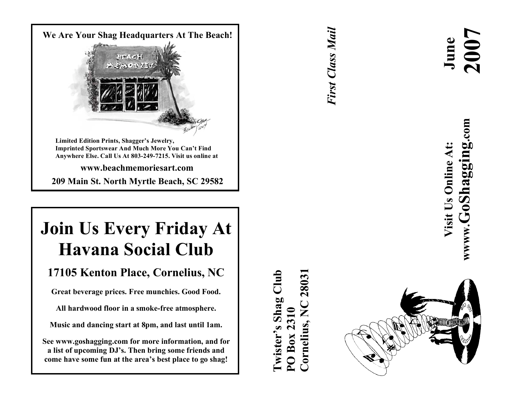

**209 Mai n S t . Nor t h Myr t l e B eac h , S C 29582**

## **Join Us Every Friday At Havana Social Club**

### 17105 Kenton Place, Cornelius, NC

Great beverage prices. Free munchies. Good Food.

All hardwood floor in a smoke-free atmosphere.

Music and dancing start at 8pm, and last until 1am.

**S e e w w w .gos haggi ng. com for mor e i n for mat ion , an d for** a list of upcoming DJ's. Then bring some friends and come have some fun at the area's best place to go shag!

**Cornelius, NC 28031Twister's Shag Club** 28031 wister's Shag Club Cornelius, NC PO Box 2310 **PO Box 2310**

*First Class Mail* First Class Mail



www.GoShagging.com **wwww.GoShagging.com** Visit Us Online At: **Visit Us Online At:**

 **June**

**2007**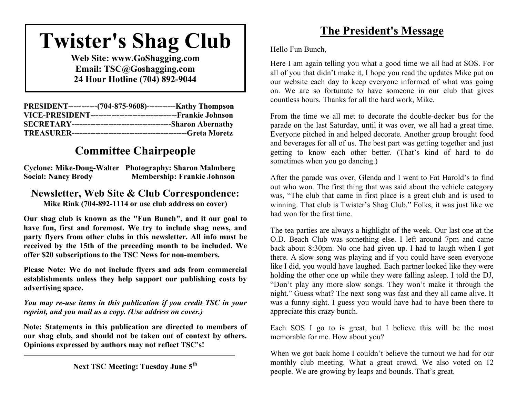# **Twister's Shag Club**

**Web Site: www.GoShagging.com Email: TSC@Goshagging.com 24 Hour Hotline (704) 892-9044**

| PRESIDENT------------(704-875-9608)------------Kathy Thompson |
|---------------------------------------------------------------|
|                                                               |
|                                                               |
|                                                               |

### **Committee Chairpeople**

**Cyclone: Mike-Doug-Walter Photography: Sharon Malmberg Social: Nancy Brody Membership: Frankie Johnson**

#### **Newsletter, Web Site & Club Correspondence: Mike Rink (704-892-1114 or use club address on cover)**

**Our shag club is known as the "Fun Bunch", and it our goal to have fun, first and foremost. We try to include shag news, and party flyers from other clubs in this newsletter. All info must be received by the 15th of the preceding month to be included. We offer \$20 subscriptions to the TSC News for non-members.**

**Please Note: We do not include flyers and ads from commercial establishments unless they help support our publishing costs by advertising space.**

*You may re-use items in this publication if you credit TSC in your reprint, and you mail us a copy. (Use address on cover.)*

**Note: Statements in this publication are directed to members of our shag club, and should not be taken out of context by others. Opinions expressed by authors may not reflect TSC's!**

### **The President's Message**

Hello Fun Bunch,

Here I am again telling you what a good time we all had at SOS. For all of you that didn't make it, I hope you read the updates Mike put on our website each day to keep everyone informed of what was going on. We are so fortunate to have someone in our club that gives countless hours. Thanks for all the hard work, Mike.

From the time we all met to decorate the double-decker bus for the parade on the last Saturday, until it was over, we all had a great time. Everyone pitched in and helped decorate. Another group brought food and beverages for all of us. The best part was getting together and just getting to know each other better. (That's kind of hard to do sometimes when you go dancing.)

After the parade was over, Glenda and I went to Fat Harold's to find out who won. The first thing that was said about the vehicle category was, "The club that came in first place is a great club and is used to winning. That club is Twister's Shag Club." Folks, it was just like we had won for the first time.

The tea parties are always a highlight of the week. Our last one at the O.D. Beach Club was something else. I left around 7pm and came back about 8:30pm. No one had given up. I had to laugh when I got there. A slow song was playing and if you could have seen everyone like I did, you would have laughed. Each partner looked like they were holding the other one up while they were falling asleep. I told the DJ, "Don't play any more slow songs. They won't make it through the night." Guess what? The next song was fast and they all came alive. It was a funny sight. I guess you would have had to have been there to appreciate this crazy bunch.

Each SOS I go to is great, but I believe this will be the most memorable for me. How about you?

When we got back home I couldn't believe the turnout we had for our monthly club meeting. What a great crowd. We also voted on 12 people. We are growing by leaps and bounds. That's great.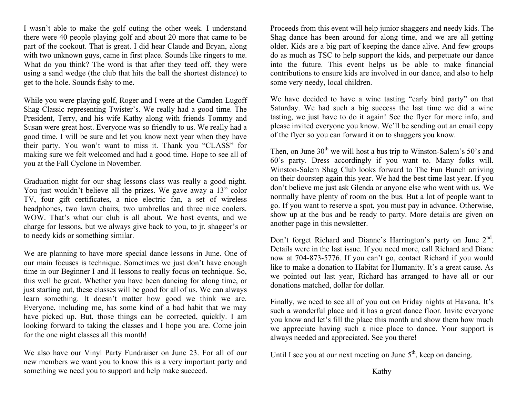I wasn't able to make the golf outing the other week. I understand there were 40 people playing golf and about 20 more that came to be part of the cookout. That is great. I did hear Claude and Bryan, along with two unknown guys, came in first place. Sounds like ringers to me. What do you think? The word is that after they teed off, they were using a sand wedge (the club that hits the ball the shortest distance) to get to the hole. Sounds fishy to me.

While you were playing golf, Roger and I were at the Camden Lugoff Shag Classic representing Twister's. We really had a good time. The President, Terry, and his wife Kathy along with friends Tommy and Susan were great host. Everyone was so friendly to us. We really had a good time. I will be sure and let you know next year when they have their party. You won't want to miss it. Thank you "CLASS" for making sure we felt welcomed and had a good time. Hope to see all of you at the Fall Cyclone in November.

Graduation night for our shag lessons class was really a good night. You just wouldn't believe all the prizes. We gave away a 13" color TV, four gift certificates, a nice electric fan, a set of wireless headphones, two lawn chairs, two umbrellas and three nice coolers. WOW. That's what our club is all about. We host events, and we charge for lessons, but we always give back to you, to jr. shagger's or to needy kids or something similar.

We are planning to have more special dance lessons in June. One of our main focuses is technique. Sometimes we just don't have enough time in our Beginner I and II lessons to really focus on technique. So, this well be great. Whether you have been dancing for along time, or just starting out, these classes will be good for all of us. We can always learn something. It doesn't matter how good we think we are. Everyone, including me, has some kind of a bad habit that we may have picked up. But, those things can be corrected, quickly. I am looking forward to taking the classes and I hope you are. Come join for the one night classes all this month!

We also have our Vinyl Party Fundraiser on June 23. For all of our new members we want you to know this is a very important party and something we need you to support and help make succeed.

Proceeds from this event will help junior shaggers and needy kids. The Shag dance has been around for along time, and we are all getting older. Kids are a big part of keeping the dance alive. And few groups do as much as TSC to help support the kids, and perpetuate our dance into the future. This event helps us be able to make financial contributions to ensure kids are involved in our dance, and also to help some very needy, local children.

We have decided to have a wine tasting "early bird party" on that Saturday. We had such a big success the last time we did a wine tasting, we just have to do it again! See the flyer for more info, and please invited everyone you know. We'll be sending out an email copy of the flyer so you can forward it on to shaggers you know.

Then, on June  $30<sup>th</sup>$  we will host a bus trip to Winston-Salem's  $50$ 's and 60's party. Dress accordingly if you want to. Many folks will. Winston-Salem Shag Club looks forward to The Fun Bunch arriving on their doorstep again this year. We had the best time last year. If you don't believe me just ask Glenda or anyone else who went with us. We normally have plenty of room on the bus. But a lot of people want to go. If you want to reserve a spot, you must pay in advance. Otherwise, show up at the bus and be ready to party. More details are given on another page in this newsletter.

Don't forget Richard and Dianne's Harrington's party on June 2<sup>nd</sup>. Details were in the last issue. If you need more, call Richard and Diane now at 704-873-5776. If you can't go, contact Richard if you would like to make a donation to Habitat for Humanity. It's a great cause. As we pointed out last year, Richard has arranged to have all or our donations matched, dollar for dollar.

Finally, we need to see all of you out on Friday nights at Havana. It's such a wonderful place and it has a great dance floor. Invite everyone you know and let's fill the place this month and show them how much we appreciate having such a nice place to dance. Your support is always needed and appreciated. See you there!

Until I see you at our next meeting on June  $5<sup>th</sup>$ , keep on dancing.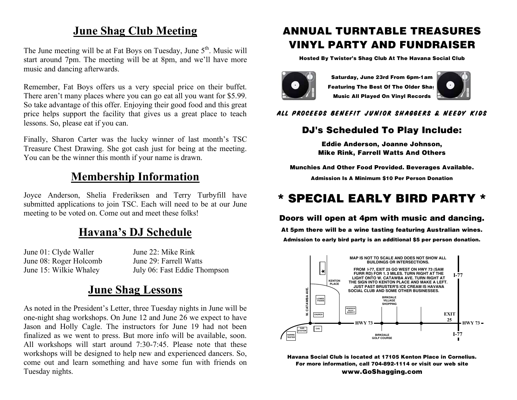### **June Shag Club Meeting**

The June meeting will be at Fat Boys on Tuesday, June 5<sup>th</sup>. Music will start around 7pm. The meeting will be at 8pm, and we'll have more music and dancing afterwards.

Remember, Fat Boys offers us a very special price on their buffet. There aren't many places where you can go eat all you want for \$5.99. So take advantage of this offer. Enjoying their good food and this great price helps support the facility that gives us a great place to teach lessons. So, please eat if you can.

Finally, Sharon Carter was the lucky winner of last month's TSC Treasure Chest Drawing. She got cash just for being at the meeting. You can be the winner this month if your name is drawn.

#### **Membership Information**

Joyce Anderson, Shelia Frederiksen and Terry Turbyfill have submitted applications to join TSC. Each will need to be at our June meeting to be voted on. Come out and meet these folks!

### **Havana's DJ Schedule**

June 01: Clyde Waller June 22: Mike Rink June 08: Roger Holcomb June 29: Farrell Watts

June 15: Wilkie Whaley July 06: Fast Eddie Thompson

#### **June Shag Lessons**

As noted in the President's Letter, three Tuesday nights in June will be one-night shag workshops. On June 12 and June 26 we expect to have Jason and Holly Cagle. The instructors for June 19 had not been finalized as we went to press. But more info will be available, soon. All workshops will start around 7:30-7:45. Please note that these workshops will be designed to help new and experienced dancers. So, come out and learn something and have some fun with friends on Tuesday nights.

### ANNUAL TURNTABLE TREASURES VINYL PARTY AND FUNDRAISER

Hosted By Twister's Shag Club At The Havana Social Club



Saturday, June 23rd From 6pm-1am Featuring The Best Of The Older Shag Music All Played On Vinyl Records



#### ALL PROCEEDS BENEFIT JUNIOR SHAGGERS & NEEDY KIDS

#### DJ's Scheduled To Play Include:

Eddie Anderson, Joanne Johnson, Mike Rink, Farrell Watts And Others

Munchies And Other Food Provided. Beverages Available.

Admission Is A Minimum \$10 Per Person Donation

### \* SPECIAL EARLY BIRD PARTY \*

#### Doors will open at 4pm with music and dancing.

At 5pm there will be a wine tasting featuring Australian wines. Admission to early bird party is an additional \$5 per person donation.



Havana Social Club is located at 17105 Kenton Place in Cornelius. For more information, call 704-892-1114 or visit our web site www.GoShagging.com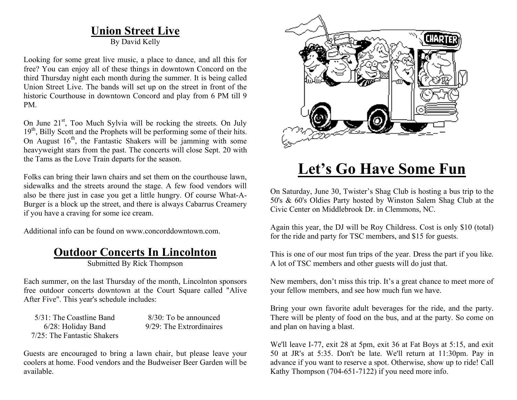### **Union Street Live**

By David Kelly

Looking for some great live music, a place to dance, and all this for free? You can enjoy all of these things in downtown Concord on the third Thursday night each month during the summer. It is being called Union Street Live. The bands will set up on the street in front of the historic Courthouse in downtown Concord and play from 6 PM till 9 PM.

On June 21<sup>st</sup>, Too Much Sylvia will be rocking the streets. On July 19<sup>th</sup>, Billy Scott and the Prophets will be performing some of their hits. On August  $16<sup>th</sup>$ , the Fantastic Shakers will be jamming with some heavyweight stars from the past. The concerts will close Sept. 20 with the Tams as the Love Train departs for the season.

Folks can bring their lawn chairs and set them on the courthouse lawn, sidewalks and the streets around the stage. A few food vendors will also be there just in case you get a little hungry. Of course What-A-Burger is a block up the street, and there is always Cabarrus Creamery if you have a craving for some ice cream.

Additional info can be found on www.concorddowntown.com.

#### **Outdoor Concerts In Lincolnton**

Submitted By Rick Thompson

Each summer, on the last Thursday of the month, Lincolnton sponsors free outdoor concerts downtown at the Court Square called "Alive After Five". This year's schedule includes:

 $5/31$ : The Coastline Band  $8/30$ : To be announced 7/25: The Fantastic Shakers

6/28: Holiday Band 9/29: The Extrordinaires

Guests are encouraged to bring a lawn chair, but please leave your coolers at home. Food vendors and the Budweiser Beer Garden will be available.



## **Let's Go Have Some Fun**

On Saturday, June 30, Twister's Shag Club is hosting a bus trip to the 50's & 60's Oldies Party hosted by Winston Salem Shag Club at the Civic Center on Middlebrook Dr. in Clemmons, NC.

Again this year, the DJ will be Roy Childress. Cost is only \$10 (total) for the ride and party for TSC members, and \$15 for guests.

This is one of our most fun trips of the year. Dress the part if you like. A lot of TSC members and other guests will do just that.

New members, don't miss this trip. It's a great chance to meet more of your fellow members, and see how much fun we have.

Bring your own favorite adult beverages for the ride, and the party. There will be plenty of food on the bus, and at the party. So come on and plan on having a blast.

We'll leave I-77, exit 28 at 5pm, exit 36 at Fat Boys at 5:15, and exit 50 at JR's at 5:35. Don't be late. We'll return at 11:30pm. Pay in advance if you want to reserve a spot. Otherwise, show up to ride! Call Kathy Thompson (704-651-7122) if you need more info.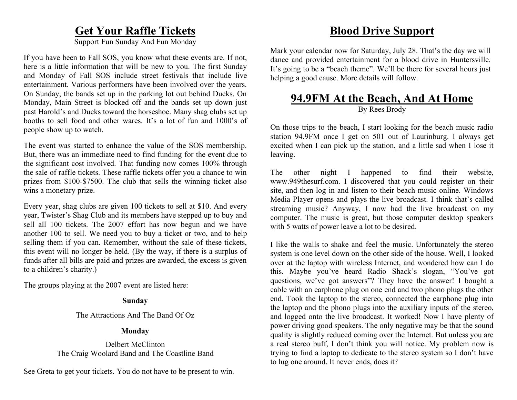#### **Get Your Raffle Tickets**

Support Fun Sunday And Fun Monday

If you have been to Fall SOS, you know what these events are. If not, here is a little information that will be new to you. The first Sunday and Monday of Fall SOS include street festivals that include live entertainment. Various performers have been involved over the years. On Sunday, the bands set up in the parking lot out behind Ducks. On Monday, Main Street is blocked off and the bands set up down just past Harold's and Ducks toward the horseshoe. Many shag clubs set up booths to sell food and other wares. It's a lot of fun and 1000's of people show up to watch.

The event was started to enhance the value of the SOS membership. But, there was an immediate need to find funding for the event due to the significant cost involved. That funding now comes 100% through the sale of raffle tickets. These raffle tickets offer you a chance to win prizes from \$100-\$7500. The club that sells the winning ticket also wins a monetary prize.

Every year, shag clubs are given 100 tickets to sell at \$10. And every year, Twister's Shag Club and its members have stepped up to buy and sell all 100 tickets. The 2007 effort has now begun and we have another 100 to sell. We need you to buy a ticket or two, and to help selling them if you can. Remember, without the sale of these tickets, this event will no longer be held. (By the way, if there is a surplus of funds after all bills are paid and prizes are awarded, the excess is given to a children's charity.)

The groups playing at the 2007 event are listed here:

#### **Sunday**

The Attractions And The Band Of Oz

#### **Monday**

Delbert McClinton The Craig Woolard Band and The Coastline Band

See Greta to get your tickets. You do not have to be present to win.

### **Blood Drive Support**

Mark your calendar now for Saturday, July 28. That's the day we will dance and provided entertainment for a blood drive in Huntersville. It's going to be a "beach theme". We'll be there for several hours just helping a good cause. More details will follow.

#### **94.9FM At the Beach, And At Home** By Rees Brody

On those trips to the beach, I start looking for the beach music radio station 94.9FM once I get on 501 out of Laurinburg. I always get excited when I can pick up the station, and a little sad when I lose it leaving.

The other night I happened to find their website, www.949thesurf.com. I discovered that you could register on their site, and then log in and listen to their beach music online. Windows Media Player opens and plays the live broadcast. I think that's called streaming music? Anyway, I now had the live broadcast on my computer. The music is great, but those computer desktop speakers with 5 watts of power leave a lot to be desired.

I like the walls to shake and feel the music. Unfortunately the stereo system is one level down on the other side of the house. Well, I looked over at the laptop with wireless Internet, and wondered how can I do this. Maybe you've heard Radio Shack's slogan, "You've got questions, we've got answers"? They have the answer! I bought a cable with an earphone plug on one end and two phono plugs the other end. Took the laptop to the stereo, connected the earphone plug into the laptop and the phono plugs into the auxiliary inputs of the stereo, and logged onto the live broadcast. It worked! Now I have plenty of power driving good speakers. The only negative may be that the sound quality is slightly reduced coming over the Internet. But unless you are a real stereo buff, I don't think you will notice. My problem now is trying to find a laptop to dedicate to the stereo system so I don't have to lug one around. It never ends, does it?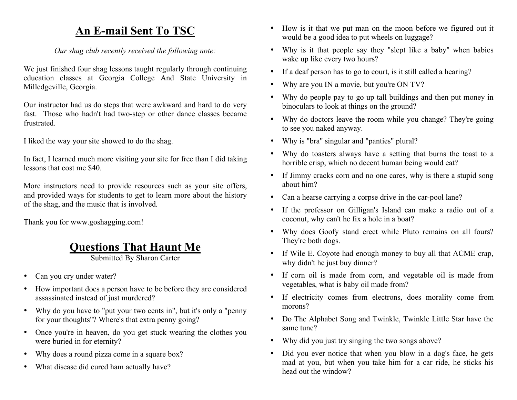### **An E-mail Sent To TSC**

*Our shag club recently received the following note:*

We just finished four shag lessons taught regularly through continuing education classes at Georgia College And State University in Milledgeville, Georgia.

Our instructor had us do steps that were awkward and hard to do very fast. Those who hadn't had two-step or other dance classes became frustrated.

I liked the way your site showed to do the shag.

In fact, I learned much more visiting your site for free than I did taking lessons that cost me \$40.

More instructors need to provide resources such as your site offers, and provided ways for students to get to learn more about the history of the shag, and the music that is involved.

Thank you for www.goshagging.com!

### **Questions That Haunt Me**

Submitted By Sharon Carter

- Can you cry under water?
- How important does a person have to be before they are considered assassinated instead of just murdered?
- Why do you have to "put your two cents in", but it's only a "penny for your thoughts"? Where's that extra penny going?
- Once you're in heaven, do you get stuck wearing the clothes you were buried in for eternity?
- Why does a round pizza come in a square box?
- What disease did cured ham actually have?
- How is it that we put man on the moon before we figured out it would be a good idea to put wheels on luggage?
- Why is it that people say they "slept like a baby" when babies wake up like every two hours?
- If a deaf person has to go to court, is it still called a hearing?
- Why are you IN a movie, but you're ON TV?
- Why do people pay to go up tall buildings and then put money in binoculars to look at things on the ground?
- Why do doctors leave the room while you change? They're going to see you naked anyway.
- Why is "bra" singular and "panties" plural?
- Why do toasters always have a setting that burns the toast to a horrible crisp, which no decent human being would eat?
- If Jimmy cracks corn and no one cares, why is there a stupid song about him?
- Can a hearse carrying a corpse drive in the car-pool lane?
- If the professor on Gilligan's Island can make a radio out of a coconut, why can't he fix a hole in a boat?
- Why does Goofy stand erect while Pluto remains on all fours? They're both dogs.
- If Wile E. Coyote had enough money to buy all that ACME crap, why didn't he just buy dinner?
- If corn oil is made from corn, and vegetable oil is made from vegetables, what is baby oil made from?
- If electricity comes from electrons, does morality come from morons?
- Do The Alphabet Song and Twinkle, Twinkle Little Star have the same tune?
- Why did you just try singing the two songs above?
- Did you ever notice that when you blow in a dog's face, he gets mad at you, but when you take him for a car ride, he sticks his head out the window?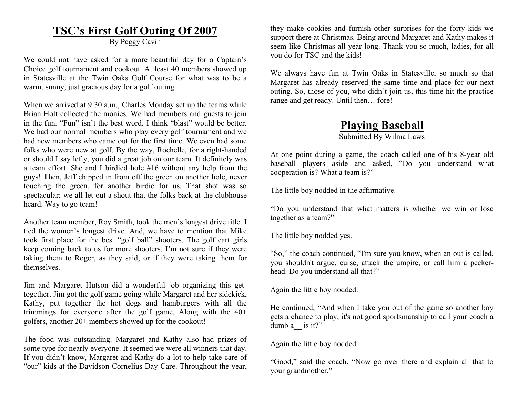#### **TSC's First Golf Outing Of 2007**

By Peggy Cavin

We could not have asked for a more beautiful day for a Captain's Choice golf tournament and cookout. At least 40 members showed up in Statesville at the Twin Oaks Golf Course for what was to be a warm, sunny, just gracious day for a golf outing.

When we arrived at 9:30 a.m., Charles Monday set up the teams while Brian Holt collected the monies. We had members and guests to join in the fun. "Fun" isn't the best word. I think "blast" would be better. We had our normal members who play every golf tournament and we had new members who came out for the first time. We even had some folks who were new at golf. By the way, Rochelle, for a right-handed or should I say lefty, you did a great job on our team. It definitely was a team effort. She and I birdied hole #16 without any help from the guys! Then, Jeff chipped in from off the green on another hole, never touching the green, for another birdie for us. That shot was so spectacular; we all let out a shout that the folks back at the clubhouse heard. Way to go team!

Another team member, Roy Smith, took the men's longest drive title. I tied the women's longest drive. And, we have to mention that Mike took first place for the best "golf ball" shooters. The golf cart girls keep coming back to us for more shooters. I'm not sure if they were taking them to Roger, as they said, or if they were taking them for themselves.

Jim and Margaret Hutson did a wonderful job organizing this gettogether. Jim got the golf game going while Margaret and her sidekick, Kathy, put together the hot dogs and hamburgers with all the trimmings for everyone after the golf game. Along with the 40+ golfers, another 20+ members showed up for the cookout!

The food was outstanding. Margaret and Kathy also had prizes of some type for nearly everyone. It seemed we were all winners that day. If you didn't know, Margaret and Kathy do a lot to help take care of "our" kids at the Davidson-Cornelius Day Care. Throughout the year,

they make cookies and furnish other surprises for the forty kids we support there at Christmas. Being around Margaret and Kathy makes it seem like Christmas all year long. Thank you so much, ladies, for all you do for TSC and the kids!

We always have fun at Twin Oaks in Statesville, so much so that Margaret has already reserved the same time and place for our next outing. So, those of you, who didn't join us, this time hit the practice range and get ready. Until then… fore!

#### **Playing Baseball**

Submitted By Wilma Laws

At one point during a game, the coach called one of his 8-year old baseball players aside and asked, "Do you understand what cooperation is? What a team is?"

The little boy nodded in the affirmative.

"Do you understand that what matters is whether we win or lose together as a team?"

The little boy nodded yes.

"So," the coach continued, "I'm sure you know, when an out is called, you shouldn't argue, curse, attack the umpire, or call him a peckerhead. Do you understand all that?"

Again the little boy nodded.

He continued, "And when I take you out of the game so another boy gets a chance to play, it's not good sportsmanship to call your coach a dumb a is it?"

Again the little boy nodded.

"Good," said the coach. "Now go over there and explain all that to your grandmother."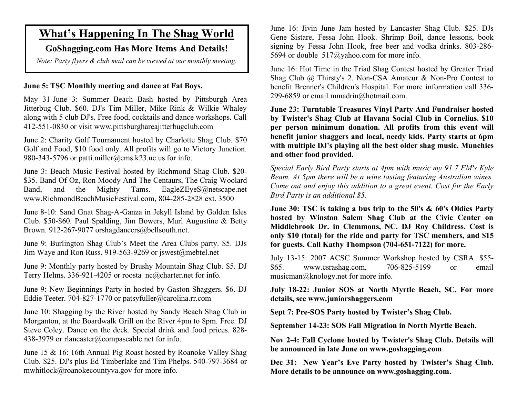### **What's Happening In The Shag World**

#### **GoShagging.com Has More Items And Details!**

*Note: Party flyers & club mail can be viewed at our monthly meeting.*

#### **June 5: TSC Monthly meeting and dance at Fat Boys.**

May 31-June 3: Summer Beach Bash hosted by Pittsburgh Area Jitterbug Club. \$60. DJ's Tim Miller, Mike Rink & Wilkie Whaley along with 5 club DJ's. Free food, cocktails and dance workshops. Call 412-551-0830 or visit www.pittsburghareajitterbugclub.com

June 2: Charity Golf Tournament hosted by Charlotte Shag Club. \$70 Golf and Food, \$10 food only. All profits will go to Victory Junction. 980-343-5796 or patti.miller@cms.k23.nc.us for info.

June 3: Beach Music Festival hosted by Richmond Shag Club. \$20- \$35. Band Of Oz, Ron Moody And The Centaurs, The Craig Woolard Band, and the Mighty Tams. EagleZEyeS@netscape.net www.RichmondBeachMusicFestival.com, 804-285-2828 ext. 3500

June 8-10: Sand Gnat Shag-A-Ganza in Jekyll Island by Golden Isles Club. \$50-\$60. Paul Spalding, Jim Bowers, Murl Augustine & Betty Brown. 912-267-9077 orshagdancers@bellsouth.net.

June 9: Burlington Shag Club's Meet the Area Clubs party. \$5. DJs Jim Waye and Ron Russ. 919-563-9269 or jswest@mebtel.net

June 9: Monthly party hosted by Brushy Mountain Shag Club. \$5. DJ Terry Helms. 336-921-4205 or roosta\_nc@charter.net for info.

June 9: New Beginnings Party in hosted by Gaston Shaggers. \$6. DJ Eddie Teeter. 704-827-1770 or patsyfuller@carolina.rr.com

June 10: Shagging by the River hosted by Sandy Beach Shag Club in Morganton, at the Boardwalk Grill on the River 4pm to 8pm. Free. DJ Steve Coley. Dance on the deck. Special drink and food prices. 828- 438-3979 or rlancaster@compascable.net for info.

June 15 & 16: 16th Annual Pig Roast hosted by Roanoke Valley Shag Club. \$25. DJ's plus Ed Timberlake and Tim Phelps. 540-797-3684 or mwhitlock@roanokecountyva.gov for more info.

June 16: Jivin June Jam hosted by Lancaster Shag Club. \$25. DJs Gene Sistare, Fessa John Hook. Shrimp Boil, dance lessons, book signing by Fessa John Hook, free beer and vodka drinks. 803-286- 5694 or double 517@yahoo.com for more info.

June 16: Hot Time in the Triad Shag Contest hosted by Greater Triad Shag Club @ Thirsty's 2. Non-CSA Amateur & Non-Pro Contest to benefit Brenner's Children's Hospital. For more information call 336- 299-6859 or email mmadrin@hotmail.com.

**June 23: Turntable Treasures Vinyl Party And Fundraiser hosted by Twister's Shag Club at Havana Social Club in Cornelius. \$10 per person minimum donation. All profits from this event will benefit junior shaggers and local, needy kids. Party starts at 6pm with multiple DJ's playing all the best older shag music. Munchies and other food provided.**

*Special Early Bird Party starts at 4pm with music my 91.7 FM's Kyle Beam. At 5pm there will be a wine tasting featuring Australian wines. Come out and enjoy this addition to a great event. Cost for the Early Bird Party is an additional \$5.*

**June 30: TSC is taking a bus trip to the 50's & 60's Oldies Party hosted by Winston Salem Shag Club at the Civic Center on Middlebrook Dr. in Clemmons, NC. DJ Roy Childress. Cost is only \$10 (total) for the ride and party for TSC members, and \$15 for guests. Call Kathy Thompson (704-651-7122) for more.**

July 13-15: 2007 ACSC Summer Workshop hosted by CSRA. \$55- \$65. www.csrashag.com, 706-825-5199 or email musicman@knology.net for more info.

**July 18-22: Junior SOS at North Myrtle Beach, SC. For more details, see www.juniorshaggers.com**

**Sept 7: Pre-SOS Party hosted by Twister's Shag Club.**

**September 14-23: SOS Fall Migration in North Myrtle Beach.**

**Nov 2-4: Fall Cyclone hosted by Twister's Shag Club. Details will be announced in late June on www.goshagging.com**

**Dec 31: New Year's Eve Party hosted by Twister's Shag Club. More details to be announce on www.goshagging.com.**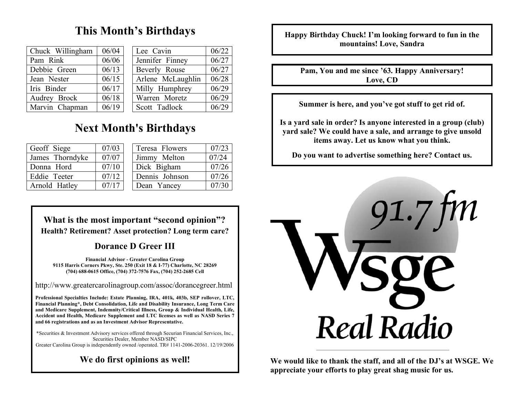### **This Month's Birthdays**

| Chuck Willingham | 06/04 | Lee Cavin         | 06/22 |
|------------------|-------|-------------------|-------|
| Pam Rink         | 06/06 | Jennifer Finney   | 06/27 |
| Debbie Green     | 06/13 | Beverly Rouse     | 06/27 |
| Jean Nester      | 06/15 | Arlene McLaughlin | 06/28 |
| Iris Binder      | 06/17 | Milly Humphrey    | 06/29 |
| Audrey Brock     | 06/18 | Warren Moretz     | 06/29 |
| Marvin Chapman   | 06/19 | Scott Tadlock     | 06/29 |

### **Next Month's Birthdays**

| Geoff Siege     | 07/03 | Teresa Flowers | 07/23 |
|-----------------|-------|----------------|-------|
| James Thorndyke | 07/07 | Jimmy Melton   | 07/24 |
| Donna Hord      | 07/10 | Dick Bigham    | 07/26 |
| Eddie Teeter    | 07/12 | Dennis Johnson | 07/26 |
| Arnold Hatley   | 07/17 | Dean Yancey    | 07/30 |

#### **What is the most important "second opinion"? Health? Retirement? Asset protection? Long term care?**

#### **Dorance D Greer III**

**Financial Advisor - Greater Carolina Group 9115 Harris Corners Pkwy, Ste. 250 (Exit 18 & I-77) Charlotte, NC 28269 (704) 688-0615 Office, (704) 372-7576 Fax, (704) 252-2685 Cell**

http://www.greatercarolinagroup.com/assoc/dorancegreer.html

**Professional Specialties Include: Estate Planning, IRA, 401k, 403b, SEP rollover, LTC, Financial Planning\*, Debt Consolidation, Life and Disability Insurance, Long Term Care and Medicare Supplement, Indemnity/Critical Illness, Group & Individual Health, Life, Accident and Health, Medicare Supplement and LTC licenses as well as NASD Series 7 and 66 registrations and as an Investment Advisor Representative.**

\*Securities & Investment Advisory services offered through Securian Financial Services, Inc., Securities Dealer, Member NASD/SIPC Greater Carolina Group is independently owned /operated. TR# 1141-2006-20361. 12/19/2006

**We do first opinions as well!**

**Happy Birthday Chuck! I'm looking forward to fun in the mountains! Love, Sandra**

**Pam, You and me since '63. Happy Anniversary! Love, CD**

**Summer is here, and you've got stuff to get rid of.**

**Is a yard sale in order? Is anyone interested in a group (club) yard sale? We could have a sale, and arrange to give unsold items away. Let us know what you think.**

**Do you want to advertise something here? Contact us.**



**We would like to thank the staff, and all of the DJ's at WSGE. We appreciate your efforts to play great shag music for us.**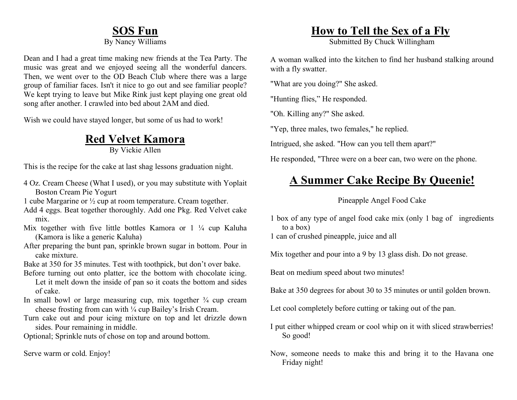### **SOS Fun**

By Nancy Williams

Dean and I had a great time making new friends at the Tea Party. The music was great and we enjoyed seeing all the wonderful dancers. Then, we went over to the OD Beach Club where there was a large group of familiar faces. Isn't it nice to go out and see familiar people? We kept trying to leave but Mike Rink just kept playing one great old song after another. I crawled into bed about 2AM and died.

Wish we could have stayed longer, but some of us had to work!

### **Red Velvet Kamora**

By Vickie Allen

This is the recipe for the cake at last shag lessons graduation night.

- 4 Oz. Cream Cheese (What I used), or you may substitute with Yoplait Boston Cream Pie Yogurt
- 1 cube Margarine or ½ cup at room temperature. Cream together.
- Add 4 eggs. Beat together thoroughly. Add one Pkg. Red Velvet cake mix.
- Mix together with five little bottles Kamora or 1 <sup>1</sup>/4 cup Kaluha (Kamora is like a generic Kaluha)
- After preparing the bunt pan, sprinkle brown sugar in bottom. Pour in cake mixture.
- Bake at 350 for 35 minutes. Test with toothpick, but don't over bake.
- Before turning out onto platter, ice the bottom with chocolate icing. Let it melt down the inside of pan so it coats the bottom and sides of cake.
- In small bowl or large measuring cup, mix together  $\frac{3}{4}$  cup cream cheese frosting from can with ¼ cup Bailey's Irish Cream.
- Turn cake out and pour icing mixture on top and let drizzle down sides. Pour remaining in middle.

Optional; Sprinkle nuts of chose on top and around bottom.

Serve warm or cold. Enjoy!

### **How to Tell the Sex of a Fly**

Submitted By Chuck Willingham

A woman walked into the kitchen to find her husband stalking around with a fly swatter.

"What are you doing?" She asked.

"Hunting flies," He responded.

"Oh. Killing any?" She asked.

"Yep, three males, two females," he replied.

Intrigued, she asked. "How can you tell them apart?"

He responded, "Three were on a beer can, two were on the phone.

### **A Summer Cake Recipe By Queenie!**

#### Pineapple Angel Food Cake

1 box of any type of angel food cake mix (only 1 bag of ingredients to a box)

1 can of crushed pineapple, juice and all

Mix together and pour into a 9 by 13 glass dish. Do not grease.

Beat on medium speed about two minutes!

Bake at 350 degrees for about 30 to 35 minutes or until golden brown.

Let cool completely before cutting or taking out of the pan.

- I put either whipped cream or cool whip on it with sliced strawberries! So good!
- Now, someone needs to make this and bring it to the Havana one Friday night!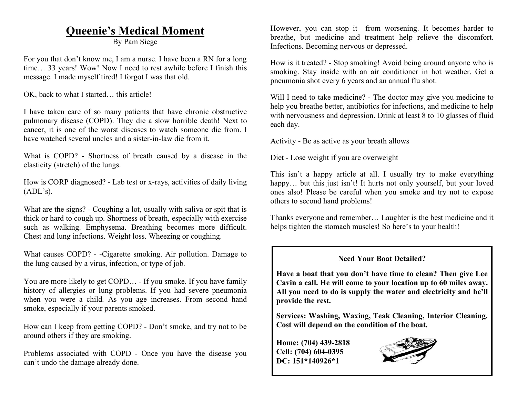#### **Queenie's Medical Moment**

By Pam Siege

For you that don't know me, I am a nurse. I have been a RN for a long time… 33 years! Wow! Now I need to rest awhile before I finish this message. I made myself tired! I forgot I was that old.

OK, back to what I started… this article!

I have taken care of so many patients that have chronic obstructive pulmonary disease (COPD). They die a slow horrible death! Next to cancer, it is one of the worst diseases to watch someone die from. I have watched several uncles and a sister-in-law die from it.

What is COPD? - Shortness of breath caused by a disease in the elasticity (stretch) of the lungs.

How is CORP diagnosed? - Lab test or x-rays, activities of daily living  $(ADL's).$ 

What are the signs? - Coughing a lot, usually with saliva or spit that is thick or hard to cough up. Shortness of breath, especially with exercise such as walking. Emphysema. Breathing becomes more difficult. Chest and lung infections. Weight loss. Wheezing or coughing.

What causes COPD? - -Cigarette smoking. Air pollution. Damage to the lung caused by a virus, infection, or type of job.

You are more likely to get COPD... - If you smoke. If you have family history of allergies or lung problems. If you had severe pneumonia when you were a child. As you age increases. From second hand smoke, especially if your parents smoked.

How can I keep from getting COPD? - Don't smoke, and try not to be around others if they are smoking.

Problems associated with COPD - Once you have the disease you can't undo the damage already done.

However, you can stop it from worsening. It becomes harder to breathe, but medicine and treatment help relieve the discomfort. Infections. Becoming nervous or depressed.

How is it treated? - Stop smoking! Avoid being around anyone who is smoking. Stay inside with an air conditioner in hot weather. Get a pneumonia shot every 6 years and an annual flu shot.

Will I need to take medicine? - The doctor may give you medicine to help you breathe better, antibiotics for infections, and medicine to help with nervousness and depression. Drink at least 8 to 10 glasses of fluid each day.

Activity - Be as active as your breath allows

Diet - Lose weight if you are overweight

This isn't a happy article at all. I usually try to make everything happy... but this just isn't! It hurts not only yourself, but your loved ones also! Please be careful when you smoke and try not to expose others to second hand problems!

Thanks everyone and remember… Laughter is the best medicine and it helps tighten the stomach muscles! So here's to your health!

#### **Need Your Boat Detailed?**

**Have a boat that you don't have time to clean? Then give Lee Cavin a call. He will come to your location up to 60 miles away. All you need to do is supply the water and electricity and he'll provide the rest.**

**Services: Washing, Waxing, Teak Cleaning, Interior Cleaning. Cost will depend on the condition of the boat.**

**Home: (704) 439-2818 Cell: (704) 604-0395 DC: 151\*140926\*1**

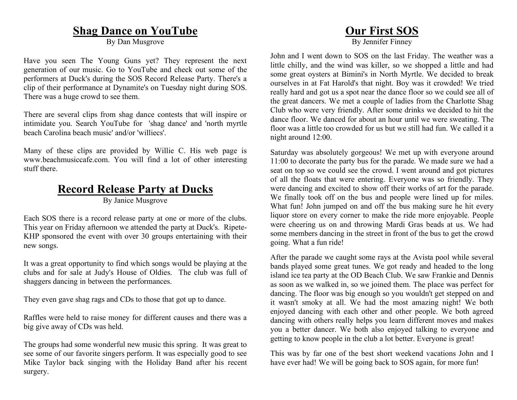#### **Shag Dance on YouTube**

By Dan Musgrove

Have you seen The Young Guns yet? They represent the next generation of our music. Go to YouTube and check out some of the performers at Duck's during the SOS Record Release Party. There's a clip of their performance at Dynamite's on Tuesday night during SOS. There was a huge crowd to see them.

There are several clips from shag dance contests that will inspire or intimidate you. Search YouTube for 'shag dance' and 'north myrtle beach Carolina beach music' and/or 'williecs'.

Many of these clips are provided by Willie C. His web page is www.beachmusiccafe.com. You will find a lot of other interesting stuff there.

#### **Record Release Party at Ducks**

By Janice Musgrove

Each SOS there is a record release party at one or more of the clubs. This year on Friday afternoon we attended the party at Duck's. Ripete-KHP sponsored the event with over 30 groups entertaining with their new songs.

It was a great opportunity to find which songs would be playing at the clubs and for sale at Judy's House of Oldies. The club was full of shaggers dancing in between the performances.

They even gave shag rags and CDs to those that got up to dance.

Raffles were held to raise money for different causes and there was a big give away of CDs was held.

The groups had some wonderful new music this spring. It was great to see some of our favorite singers perform. It was especially good to see Mike Taylor back singing with the Holiday Band after his recent surgery.

#### **Our First SOS**

By Jennifer Finney

John and I went down to SOS on the last Friday. The weather was a little chilly, and the wind was killer, so we shopped a little and had some great oysters at Bimini's in North Myrtle. We decided to break ourselves in at Fat Harold's that night. Boy was it crowded! We tried really hard and got us a spot near the dance floor so we could see all of the great dancers. We met a couple of ladies from the Charlotte Shag Club who were very friendly. After some drinks we decided to hit the dance floor. We danced for about an hour until we were sweating. The floor was a little too crowded for us but we still had fun. We called it a night around 12:00.

Saturday was absolutely gorgeous! We met up with everyone around 11:00 to decorate the party bus for the parade. We made sure we had a seat on top so we could see the crowd. I went around and got pictures of all the floats that were entering. Everyone was so friendly. They were dancing and excited to show off their works of art for the parade. We finally took off on the bus and people were lined up for miles. What fun! John jumped on and off the bus making sure he hit every liquor store on every corner to make the ride more enjoyable. People were cheering us on and throwing Mardi Gras beads at us. We had some members dancing in the street in front of the bus to get the crowd going. What a fun ride!

After the parade we caught some rays at the Avista pool while several bands played some great tunes. We got ready and headed to the long island ice tea party at the OD Beach Club. We saw Frankie and Dennis as soon as we walked in, so we joined them. The place was perfect for dancing. The floor was big enough so you wouldn't get stepped on and it wasn't smoky at all. We had the most amazing night! We both enjoyed dancing with each other and other people. We both agreed dancing with others really helps you learn different moves and makes you a better dancer. We both also enjoyed talking to everyone and getting to know people in the club a lot better. Everyone is great!

This was by far one of the best short weekend vacations John and I have ever had! We will be going back to SOS again, for more fun!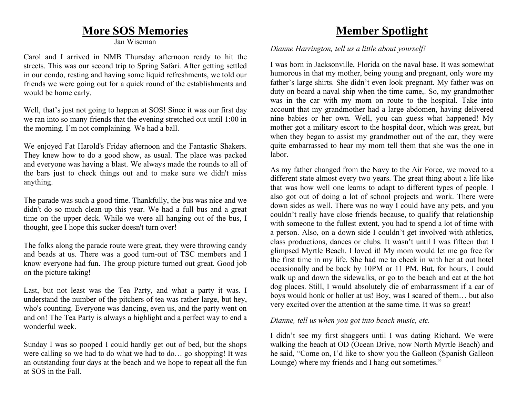#### **More SOS Memories**

Jan Wiseman

Carol and I arrived in NMB Thursday afternoon ready to hit the streets. This was our second trip to Spring Safari. After getting settled in our condo, resting and having some liquid refreshments, we told our friends we were going out for a quick round of the establishments and would be home early.

Well, that's just not going to happen at SOS! Since it was our first day we ran into so many friends that the evening stretched out until 1:00 in the morning. I'm not complaining. We had a ball.

We enjoyed Fat Harold's Friday afternoon and the Fantastic Shakers. They knew how to do a good show, as usual. The place was packed and everyone was having a blast. We always made the rounds to all of the bars just to check things out and to make sure we didn't miss anything.

The parade was such a good time. Thankfully, the bus was nice and we didn't do so much clean-up this year. We had a full bus and a great time on the upper deck. While we were all hanging out of the bus, I thought, gee I hope this sucker doesn't turn over!

The folks along the parade route were great, they were throwing candy and beads at us. There was a good turn-out of TSC members and I know everyone had fun. The group picture turned out great. Good job on the picture taking!

Last, but not least was the Tea Party, and what a party it was. I understand the number of the pitchers of tea was rather large, but hey, who's counting. Everyone was dancing, even us, and the party went on and on! The Tea Party is always a highlight and a perfect way to end a wonderful week.

Sunday I was so pooped I could hardly get out of bed, but the shops were calling so we had to do what we had to do… go shopping! It was an outstanding four days at the beach and we hope to repeat all the fun at SOS in the Fall.

### **Member Spotlight**

*Dianne Harrington, tell us a little about yourself!*

I was born in Jacksonville, Florida on the naval base. It was somewhat humorous in that my mother, being young and pregnant, only wore my father's large shirts. She didn't even look pregnant. My father was on duty on board a naval ship when the time came,. So, my grandmother was in the car with my mom on route to the hospital. Take into account that my grandmother had a large abdomen, having delivered nine babies or her own. Well, you can guess what happened! My mother got a military escort to the hospital door, which was great, but when they began to assist my grandmother out of the car, they were quite embarrassed to hear my mom tell them that she was the one in labor.

As my father changed from the Navy to the Air Force, we moved to a different state almost every two years. The great thing about a life like that was how well one learns to adapt to different types of people. I also got out of doing a lot of school projects and work. There were down sides as well. There was no way I could have any pets, and you couldn't really have close friends because, to qualify that relationship with someone to the fullest extent, you had to spend a lot of time with a person. Also, on a down side I couldn't get involved with athletics, class productions, dances or clubs. It wasn't until I was fifteen that I glimpsed Myrtle Beach. I loved it! My mom would let me go free for the first time in my life. She had me to check in with her at out hotel occasionally and be back by 10PM or 11 PM. But, for hours, I could walk up and down the sidewalks, or go to the beach and eat at the hot dog places. Still, I would absolutely die of embarrassment if a car of boys would honk or holler at us! Boy, was I scared of them… but also very excited over the attention at the same time. It was so great!

#### *Dianne, tell us when you got into beach music, etc.*

I didn't see my first shaggers until I was dating Richard. We were walking the beach at OD (Ocean Drive, now North Myrtle Beach) and he said, "Come on, I'd like to show you the Galleon (Spanish Galleon Lounge) where my friends and I hang out sometimes."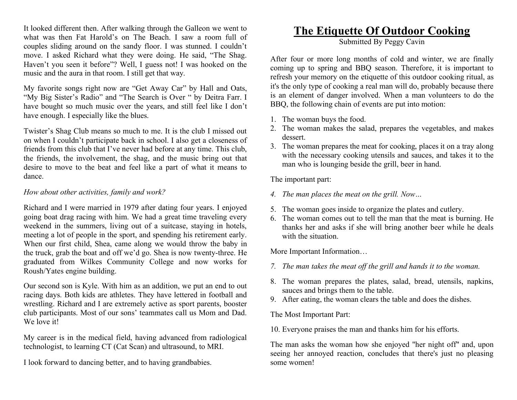It looked different then. After walking through the Galleon we went to what was then Fat Harold's on The Beach. I saw a room full of couples sliding around on the sandy floor. I was stunned. I couldn't move. I asked Richard what they were doing. He said, "The Shag. Haven't you seen it before"? Well, I guess not! I was hooked on the music and the aura in that room. I still get that way.

My favorite songs right now are "Get Away Car" by Hall and Oats, "My Big Sister's Radio" and "The Search is Over " by Deitra Farr. I have bought so much music over the years, and still feel like I don't have enough. I especially like the blues.

Twister's Shag Club means so much to me. It is the club I missed out on when I couldn't participate back in school. I also get a closeness of friends from this club that I've never had before at any time. This club, the friends, the involvement, the shag, and the music bring out that desire to move to the beat and feel like a part of what it means to dance.

#### *How about other activities, family and work?*

Richard and I were married in 1979 after dating four years. I enjoyed going boat drag racing with him. We had a great time traveling every weekend in the summers, living out of a suitcase, staying in hotels, meeting a lot of people in the sport, and spending his retirement early. When our first child, Shea, came along we would throw the baby in the truck, grab the boat and off we'd go. Shea is now twenty-three. He graduated from Wilkes Community College and now works for Roush/Yates engine building.

Our second son is Kyle. With him as an addition, we put an end to out racing days. Both kids are athletes. They have lettered in football and wrestling. Richard and I are extremely active as sport parents, booster club participants. Most of our sons' teammates call us Mom and Dad. We love it!

My career is in the medical field, having advanced from radiological technologist, to learning CT (Cat Scan) and ultrasound, to MRI.

I look forward to dancing better, and to having grandbabies.

#### **The Etiquette Of Outdoor Cooking**

Submitted By Peggy Cavin

After four or more long months of cold and winter, we are finally coming up to spring and BBQ season. Therefore, it is important to refresh your memory on the etiquette of this outdoor cooking ritual, as it's the only type of cooking a real man will do, probably because there is an element of danger involved. When a man volunteers to do the BBQ, the following chain of events are put into motion:

- 1. The woman buys the food.
- 2. The woman makes the salad, prepares the vegetables, and makes dessert.
- 3. The woman prepares the meat for cooking, places it on a tray along with the necessary cooking utensils and sauces, and takes it to the man who is lounging beside the grill, beer in hand.

The important part:

- *4. The man places the meat on the grill. Now…*
- 5. The woman goes inside to organize the plates and cutlery.
- 6. The woman comes out to tell the man that the meat is burning. He thanks her and asks if she will bring another beer while he deals with the situation.

More Important Information…

- *7. The man takes the meat off the grill and hands it to the woman.*
- 8. The woman prepares the plates, salad, bread, utensils, napkins, sauces and brings them to the table.
- 9. After eating, the woman clears the table and does the dishes.

The Most Important Part:

10. Everyone praises the man and thanks him for his efforts.

The man asks the woman how she enjoyed "her night off" and, upon seeing her annoyed reaction, concludes that there's just no pleasing some women!